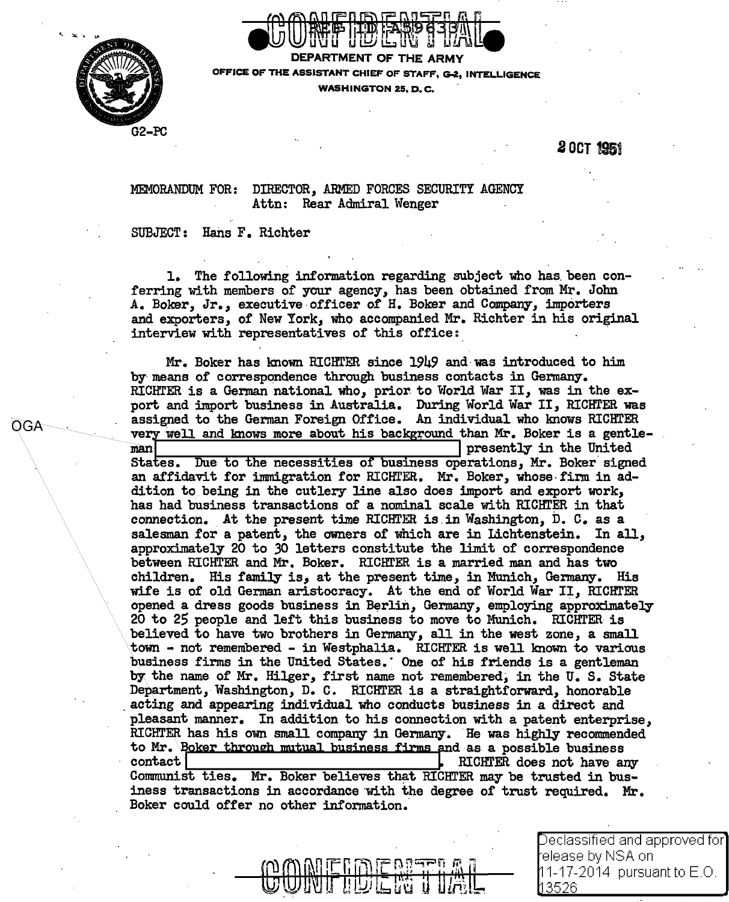



DEPARTMENT OF THE ARMY OFFICE OF THE ASSISTANT CHIEF OF STAFF. G-2, INTELLIGENCE WASHINGTON 25. D.C.

## **20CT 1951**

DIRECTOR, ARMED FORCES SECURITY AGENCY MEMORANDUM FOR: Attn: Rear Admiral Wenger

## SUBJECT: Hans F. Richter

1. The following information regarding subject who has been conferring with members of your agency, has been obtained from Mr. John A. Boker, Jr., executive officer of H. Boker and Company, importers and exporters, of New York, who accompanied Mr. Richter in his original interview with representatives of this office:

Mr. Boker has known RICHTER since 1949 and was introduced to him by means of correspondence through business contacts in Germany. RICHTER is a German national who, prior to World War II, was in the export and import business in Australia. During World War II, RICHTER was assigned to the German Foreign Office. An individual who knows RICHTER very well and knows more about his background than Mr. Boker is a gentleman presently in the United States. Due to the necessities of business operations, Mr. Boker signed an affidavit for immigration for RICHTER. Mr. Boker, whose firm in addition to being in the cutlery line also does import and export work. has had business transactions of a nominal scale with RICHTER in that connection. At the present time RICHTER is in Washington, D. C. as a salesman for a patent, the owners of which are in Lichtenstein. In all, approximately 20 to 30 letters constitute the limit of correspondence between RICHTER and Mr. Boker. RICHTER is a married man and has two children. His family is, at the present time, in Munich, Germany. His wife is of old German aristocracy. At the end of World War II, RICHTER opened a dress goods business in Berlin, Germany, employing approximately 20 to 25 people and left this business to move to Munich. RICHTER is believed to have two brothers in Germany, all in the west zone, a small town - not remembered - in Westphalia. RICHTER is well known to various business firms in the United States. One of his friends is a gentleman by the name of Mr. Hilger, first name not remembered, in the U.S. State Department, Washington, D. C. RICHTER is a straightforward, honorable acting and appearing individual who conducts business in a direct and pleasant manner. In addition to his connection with a patent enterprise, RICHTER has his own small company in Germany. He was highly recommended to Mr. Boker through mutual business firms and as a possible business contact | RICHTER does not have any Communist ties. Mr. Boker believes that RICHTER may be trusted in business transactions in accordance with the degree of trust required. Mr. Boker could offer no other information.

**OGA** 

Declassified and approved for] elease by NSA onl 11-17-2014 pursuant to E.O. I 3526